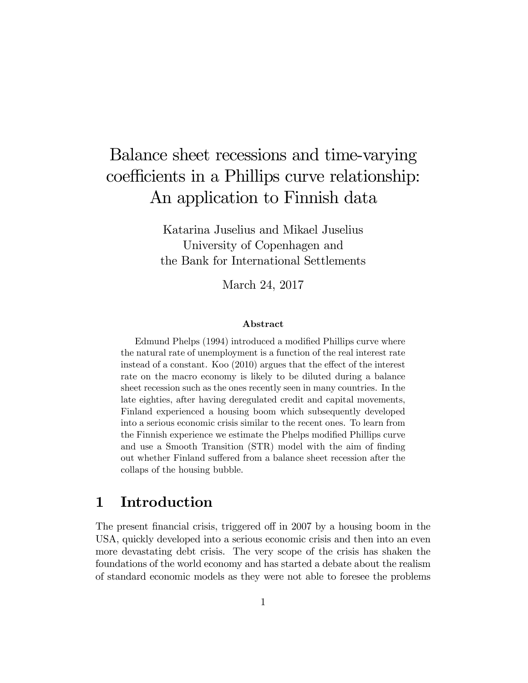# Balance sheet recessions and time-varying coefficients in a Phillips curve relationship: An application to Finnish data

Katarina Juselius and Mikael Juselius University of Copenhagen and the Bank for International Settlements

March 24, 2017

#### Abstract

Edmund Phelps (1994) introduced a modified Phillips curve where the natural rate of unemployment is a function of the real interest rate instead of a constant. Koo  $(2010)$  argues that the effect of the interest rate on the macro economy is likely to be diluted during a balance sheet recession such as the ones recently seen in many countries. In the late eighties, after having deregulated credit and capital movements, Finland experienced a housing boom which subsequently developed into a serious economic crisis similar to the recent ones. To learn from the Finnish experience we estimate the Phelps modified Phillips curve and use a Smooth Transition (STR) model with the aim of finding out whether Finland suffered from a balance sheet recession after the collaps of the housing bubble.

### 1 Introduction

The present financial crisis, triggered of in 2007 by a housing boom in the USA, quickly developed into a serious economic crisis and then into an even more devastating debt crisis. The very scope of the crisis has shaken the foundations of the world economy and has started a debate about the realism of standard economic models as they were not able to foresee the problems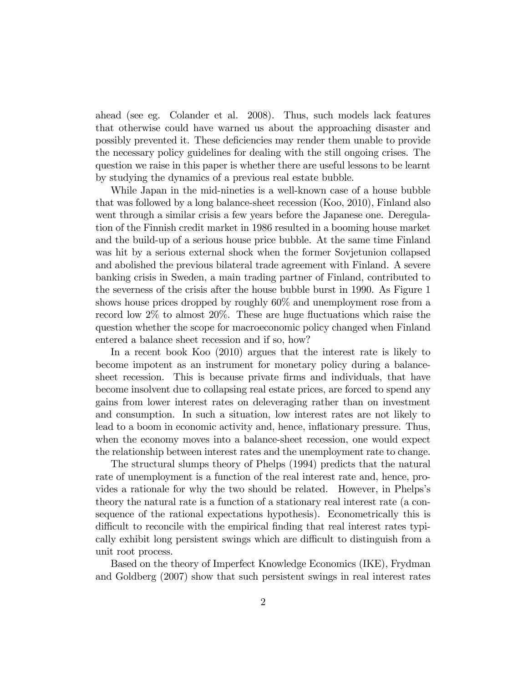ahead (see eg. Colander et al. 2008). Thus, such models lack features that otherwise could have warned us about the approaching disaster and possibly prevented it. These deficiencies may render them unable to provide the necessary policy guidelines for dealing with the still ongoing crises. The question we raise in this paper is whether there are useful lessons to be learnt by studying the dynamics of a previous real estate bubble.

While Japan in the mid-nineties is a well-known case of a house bubble that was followed by a long balance-sheet recession (Koo, 2010), Finland also went through a similar crisis a few years before the Japanese one. Deregulation of the Finnish credit market in 1986 resulted in a booming house market and the build-up of a serious house price bubble. At the same time Finland was hit by a serious external shock when the former Sovjetunion collapsed and abolished the previous bilateral trade agreement with Finland. A severe banking crisis in Sweden, a main trading partner of Finland, contributed to the severness of the crisis after the house bubble burst in 1990. As Figure 1 shows house prices dropped by roughly 60% and unemployment rose from a record low  $2\%$  to almost  $20\%$ . These are huge fluctuations which raise the question whether the scope for macroeconomic policy changed when Finland entered a balance sheet recession and if so, how?

In a recent book Koo (2010) argues that the interest rate is likely to become impotent as an instrument for monetary policy during a balancesheet recession. This is because private firms and individuals, that have become insolvent due to collapsing real estate prices, are forced to spend any gains from lower interest rates on deleveraging rather than on investment and consumption. In such a situation, low interest rates are not likely to lead to a boom in economic activity and, hence, inflationary pressure. Thus, when the economy moves into a balance-sheet recession, one would expect the relationship between interest rates and the unemployment rate to change.

The structural slumps theory of Phelps (1994) predicts that the natural rate of unemployment is a function of the real interest rate and, hence, provides a rationale for why the two should be related. However, in Phelps's theory the natural rate is a function of a stationary real interest rate (a consequence of the rational expectations hypothesis). Econometrically this is difficult to reconcile with the empirical finding that real interest rates typically exhibit long persistent swings which are difficult to distinguish from a unit root process.

Based on the theory of Imperfect Knowledge Economics (IKE), Frydman and Goldberg (2007) show that such persistent swings in real interest rates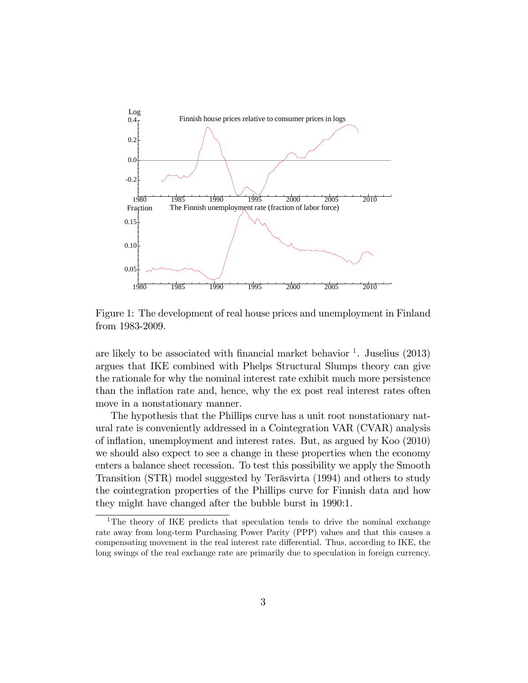

Figure 1: The development of real house prices and unemployment in Finland from 1983-2009.

are likely to be associated with financial market behavior  $\frac{1}{1}$ . Juselius (2013) argues that IKE combined with Phelps Structural Slumps theory can give the rationale for why the nominal interest rate exhibit much more persistence than the inflation rate and, hence, why the ex post real interest rates often move in a nonstationary manner.

The hypothesis that the Phillips curve has a unit root nonstationary natural rate is conveniently addressed in a Cointegration VAR (CVAR) analysis of ináation, unemployment and interest rates. But, as argued by Koo (2010) we should also expect to see a change in these properties when the economy enters a balance sheet recession. To test this possibility we apply the Smooth Transition (STR) model suggested by Teräsvirta (1994) and others to study the cointegration properties of the Phillips curve for Finnish data and how they might have changed after the bubble burst in 1990:1.

<sup>&</sup>lt;sup>1</sup>The theory of IKE predicts that speculation tends to drive the nominal exchange rate away from long-term Purchasing Power Parity (PPP) values and that this causes a compensating movement in the real interest rate differential. Thus, according to IKE, the long swings of the real exchange rate are primarily due to speculation in foreign currency.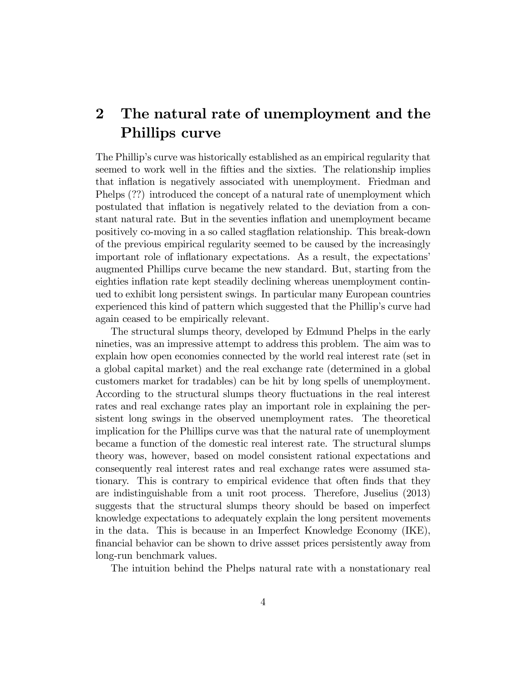## 2 The natural rate of unemployment and the Phillips curve

The Phillipís curve was historically established as an empirical regularity that seemed to work well in the fifties and the sixties. The relationship implies that inflation is negatively associated with unemployment. Friedman and Phelps (??) introduced the concept of a natural rate of unemployment which postulated that inflation is negatively related to the deviation from a constant natural rate. But in the seventies ináation and unemployment became positively co-moving in a so called stagflation relationship. This break-down of the previous empirical regularity seemed to be caused by the increasingly important role of inflationary expectations. As a result, the expectations augmented Phillips curve became the new standard. But, starting from the eighties inflation rate kept steadily declining whereas unemployment continued to exhibit long persistent swings. In particular many European countries experienced this kind of pattern which suggested that the Phillip's curve had again ceased to be empirically relevant.

The structural slumps theory, developed by Edmund Phelps in the early nineties, was an impressive attempt to address this problem. The aim was to explain how open economies connected by the world real interest rate (set in a global capital market) and the real exchange rate (determined in a global customers market for tradables) can be hit by long spells of unemployment. According to the structural slumps theory fluctuations in the real interest rates and real exchange rates play an important role in explaining the persistent long swings in the observed unemployment rates. The theoretical implication for the Phillips curve was that the natural rate of unemployment became a function of the domestic real interest rate. The structural slumps theory was, however, based on model consistent rational expectations and consequently real interest rates and real exchange rates were assumed stationary. This is contrary to empirical evidence that often finds that they are indistinguishable from a unit root process. Therefore, Juselius (2013) suggests that the structural slumps theory should be based on imperfect knowledge expectations to adequately explain the long persitent movements in the data. This is because in an Imperfect Knowledge Economy (IKE), Önancial behavior can be shown to drive assset prices persistently away from long-run benchmark values.

The intuition behind the Phelps natural rate with a nonstationary real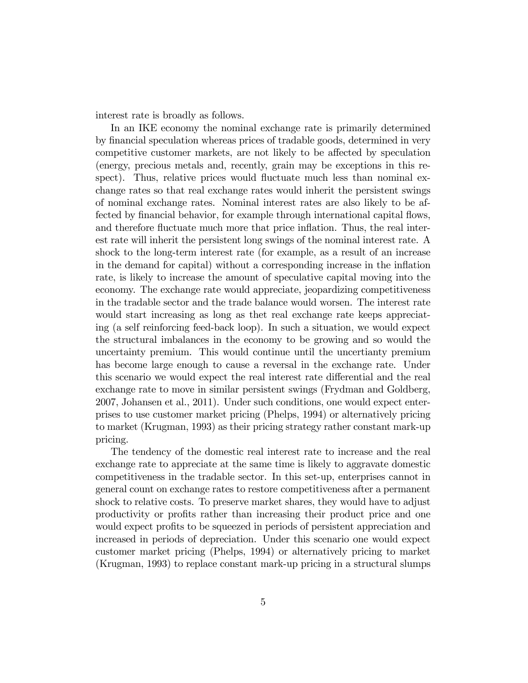interest rate is broadly as follows.

In an IKE economy the nominal exchange rate is primarily determined by financial speculation whereas prices of tradable goods, determined in very competitive customer markets, are not likely to be affected by speculation (energy, precious metals and, recently, grain may be exceptions in this respect). Thus, relative prices would fluctuate much less than nominal exchange rates so that real exchange rates would inherit the persistent swings of nominal exchange rates. Nominal interest rates are also likely to be affected by financial behavior, for example through international capital flows, and therefore fluctuate much more that price inflation. Thus, the real interest rate will inherit the persistent long swings of the nominal interest rate. A shock to the long-term interest rate (for example, as a result of an increase in the demand for capital) without a corresponding increase in the inflation rate, is likely to increase the amount of speculative capital moving into the economy. The exchange rate would appreciate, jeopardizing competitiveness in the tradable sector and the trade balance would worsen. The interest rate would start increasing as long as thet real exchange rate keeps appreciating (a self reinforcing feed-back loop). In such a situation, we would expect the structural imbalances in the economy to be growing and so would the uncertainty premium. This would continue until the uncertianty premium has become large enough to cause a reversal in the exchange rate. Under this scenario we would expect the real interest rate differential and the real exchange rate to move in similar persistent swings (Frydman and Goldberg, 2007, Johansen et al., 2011). Under such conditions, one would expect enterprises to use customer market pricing (Phelps, 1994) or alternatively pricing to market (Krugman, 1993) as their pricing strategy rather constant mark-up pricing.

The tendency of the domestic real interest rate to increase and the real exchange rate to appreciate at the same time is likely to aggravate domestic competitiveness in the tradable sector. In this set-up, enterprises cannot in general count on exchange rates to restore competitiveness after a permanent shock to relative costs. To preserve market shares, they would have to adjust productivity or profits rather than increasing their product price and one would expect profits to be squeezed in periods of persistent appreciation and increased in periods of depreciation. Under this scenario one would expect customer market pricing (Phelps, 1994) or alternatively pricing to market (Krugman, 1993) to replace constant mark-up pricing in a structural slumps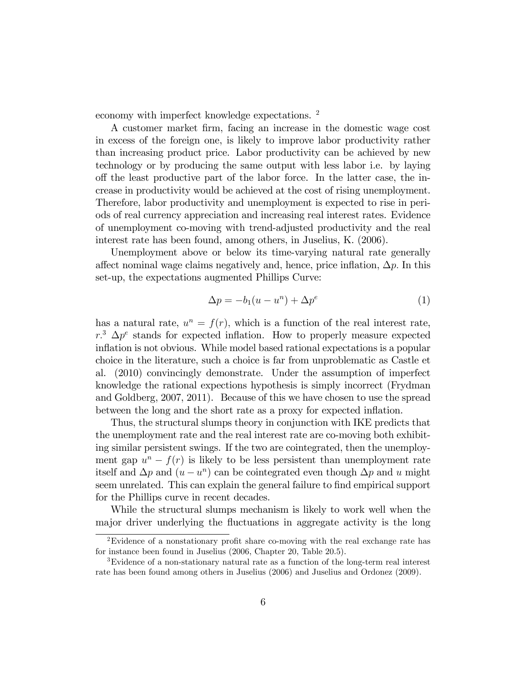economy with imperfect knowledge expectations. <sup>2</sup>

A customer market Örm, facing an increase in the domestic wage cost in excess of the foreign one, is likely to improve labor productivity rather than increasing product price. Labor productivity can be achieved by new technology or by producing the same output with less labor i.e. by laying o§ the least productive part of the labor force. In the latter case, the increase in productivity would be achieved at the cost of rising unemployment. Therefore, labor productivity and unemployment is expected to rise in periods of real currency appreciation and increasing real interest rates. Evidence of unemployment co-moving with trend-adjusted productivity and the real interest rate has been found, among others, in Juselius, K. (2006).

Unemployment above or below its time-varying natural rate generally affect nominal wage claims negatively and, hence, price inflation,  $\Delta p$ . In this set-up, the expectations augmented Phillips Curve:

$$
\Delta p = -b_1(u - u^n) + \Delta p^e \tag{1}
$$

has a natural rate,  $u^n = f(r)$ , which is a function of the real interest rate,  $r^3$   $\Delta p^e$  stands for expected inflation. How to properly measure expected inflation is not obvious. While model based rational expectations is a popular choice in the literature, such a choice is far from unproblematic as Castle et al. (2010) convincingly demonstrate. Under the assumption of imperfect knowledge the rational expections hypothesis is simply incorrect (Frydman and Goldberg, 2007, 2011). Because of this we have chosen to use the spread between the long and the short rate as a proxy for expected inflation.

Thus, the structural slumps theory in conjunction with IKE predicts that the unemployment rate and the real interest rate are co-moving both exhibiting similar persistent swings. If the two are cointegrated, then the unemployment gap  $u^n - f(r)$  is likely to be less persistent than unemployment rate itself and  $\Delta p$  and  $(u - u^n)$  can be cointegrated even though  $\Delta p$  and u might seem unrelated. This can explain the general failure to find empirical support for the Phillips curve in recent decades.

While the structural slumps mechanism is likely to work well when the major driver underlying the fluctuations in aggregate activity is the long

 $2E$ vidence of a nonstationary profit share co-moving with the real exchange rate has for instance been found in Juselius (2006, Chapter 20, Table 20.5).

<sup>3</sup>Evidence of a non-stationary natural rate as a function of the long-term real interest rate has been found among others in Juselius (2006) and Juselius and Ordonez (2009).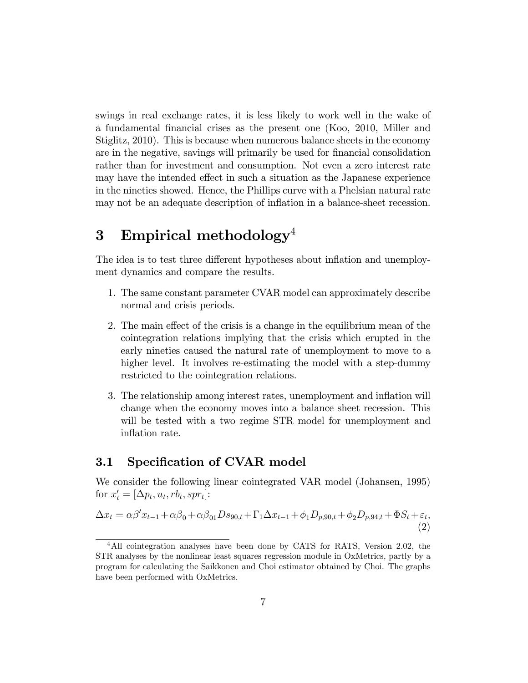swings in real exchange rates, it is less likely to work well in the wake of a fundamental Önancial crises as the present one (Koo, 2010, Miller and Stiglitz, 2010). This is because when numerous balance sheets in the economy are in the negative, savings will primarily be used for financial consolidation rather than for investment and consumption. Not even a zero interest rate may have the intended effect in such a situation as the Japanese experience in the nineties showed. Hence, the Phillips curve with a Phelsian natural rate may not be an adequate description of inflation in a balance-sheet recession.

## 3 Empirical methodology<sup>4</sup>

The idea is to test three different hypotheses about inflation and unemployment dynamics and compare the results.

- 1. The same constant parameter CVAR model can approximately describe normal and crisis periods.
- 2. The main effect of the crisis is a change in the equilibrium mean of the cointegration relations implying that the crisis which erupted in the early nineties caused the natural rate of unemployment to move to a higher level. It involves re-estimating the model with a step-dummy restricted to the cointegration relations.
- 3. The relationship among interest rates, unemployment and inflation will change when the economy moves into a balance sheet recession. This will be tested with a two regime STR model for unemployment and inflation rate.

#### 3.1 Specification of CVAR model

We consider the following linear cointegrated VAR model (Johansen, 1995) for  $x'_t = [\Delta p_t, u_t, rb_t, spr_t]$ :

$$
\Delta x_t = \alpha \beta' x_{t-1} + \alpha \beta_0 + \alpha \beta_{01} D s_{90,t} + \Gamma_1 \Delta x_{t-1} + \phi_1 D_{p,90,t} + \phi_2 D_{p,94,t} + \Phi S_t + \varepsilon_t,
$$
\n(2)

<sup>&</sup>lt;sup>4</sup>All cointegration analyses have been done by CATS for RATS, Version 2.02, the STR analyses by the nonlinear least squares regression module in OxMetrics, partly by a program for calculating the Saikkonen and Choi estimator obtained by Choi. The graphs have been performed with OxMetrics.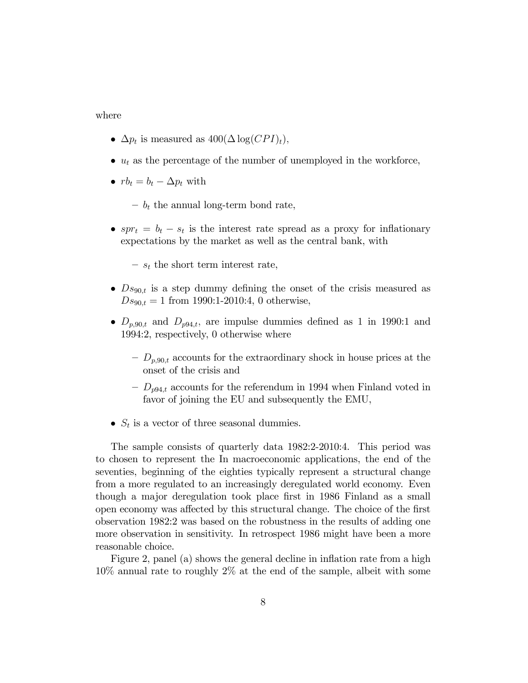#### where

- $\Delta p_t$  is measured as  $400(\Delta \log(CPI)_t)$ ,
- $u_t$  as the percentage of the number of unemployed in the workforce,
- $rb_t = b_t \Delta p_t$  with

 $- b_t$  the annual long-term bond rate,

- $spr_t = b_t s_t$  is the interest rate spread as a proxy for inflationary expectations by the market as well as the central bank, with
	- $s_t$  the short term interest rate,
- $\bullet$   $Ds_{90,t}$  is a step dummy defining the onset of the crisis measured as  $Ds_{90,t} = 1$  from 1990:1-2010:4, 0 otherwise,
- $\bullet$   $D_{p,90,t}$  and  $D_{p94,t}$ , are impulse dummies defined as 1 in 1990:1 and 1994:2, respectively, 0 otherwise where
	- $-D_{p,90,t}$  accounts for the extraordinary shock in house prices at the onset of the crisis and
	- $-D_{p94,t}$  accounts for the referendum in 1994 when Finland voted in favor of joining the EU and subsequently the EMU,
- $S_t$  is a vector of three seasonal dummies.

The sample consists of quarterly data 1982:2-2010:4. This period was to chosen to represent the In macroeconomic applications, the end of the seventies, beginning of the eighties typically represent a structural change from a more regulated to an increasingly deregulated world economy. Even though a major deregulation took place first in 1986 Finland as a small open economy was affected by this structural change. The choice of the first observation 1982:2 was based on the robustness in the results of adding one more observation in sensitivity. In retrospect 1986 might have been a more reasonable choice.

Figure 2, panel (a) shows the general decline in inflation rate from a high 10% annual rate to roughly 2% at the end of the sample, albeit with some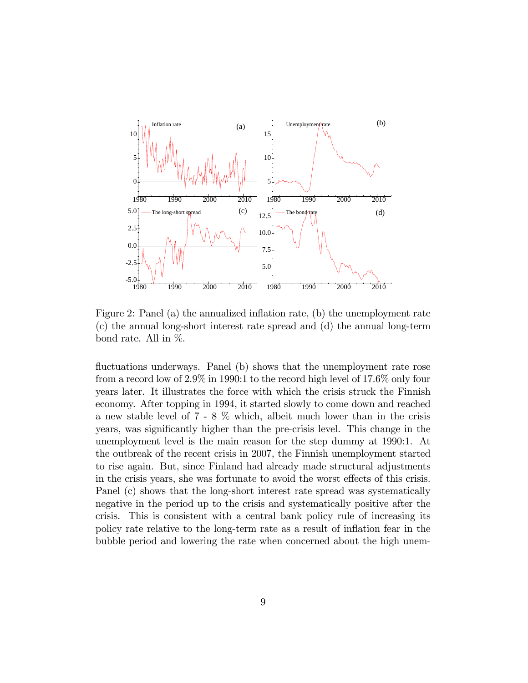

Figure 2: Panel (a) the annualized inflation rate, (b) the unemployment rate (c) the annual long-short interest rate spread and (d) the annual long-term bond rate. All in %.

fluctuations underways. Panel (b) shows that the unemployment rate rose from a record low of 2.9% in 1990:1 to the record high level of 17.6% only four years later. It illustrates the force with which the crisis struck the Finnish economy. After topping in 1994, it started slowly to come down and reached a new stable level of 7 - 8 % which, albeit much lower than in the crisis years, was significantly higher than the pre-crisis level. This change in the unemployment level is the main reason for the step dummy at 1990:1. At the outbreak of the recent crisis in 2007, the Finnish unemployment started to rise again. But, since Finland had already made structural adjustments in the crisis years, she was fortunate to avoid the worst effects of this crisis. Panel (c) shows that the long-short interest rate spread was systematically negative in the period up to the crisis and systematically positive after the crisis. This is consistent with a central bank policy rule of increasing its policy rate relative to the long-term rate as a result of inflation fear in the bubble period and lowering the rate when concerned about the high unem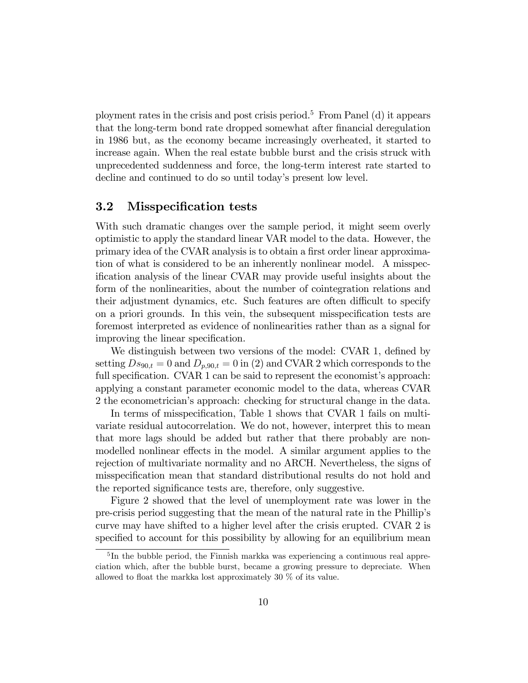ployment rates in the crisis and post crisis period.<sup>5</sup> From Panel (d) it appears that the long-term bond rate dropped somewhat after financial deregulation in 1986 but, as the economy became increasingly overheated, it started to increase again. When the real estate bubble burst and the crisis struck with unprecedented suddenness and force, the long-term interest rate started to decline and continued to do so until today's present low level.

#### 3.2 Misspecification tests

With such dramatic changes over the sample period, it might seem overly optimistic to apply the standard linear VAR model to the data. However, the primary idea of the CVAR analysis is to obtain a first order linear approximation of what is considered to be an inherently nonlinear model. A misspecification analysis of the linear CVAR may provide useful insights about the form of the nonlinearities, about the number of cointegration relations and their adjustment dynamics, etc. Such features are often difficult to specify on a priori grounds. In this vein, the subsequent misspecification tests are foremost interpreted as evidence of nonlinearities rather than as a signal for improving the linear specification.

We distinguish between two versions of the model: CVAR 1, defined by setting  $Ds_{90,t} = 0$  and  $D_{p,90,t} = 0$  in (2) and CVAR 2 which corresponds to the full specification. CVAR  $1$  can be said to represent the economist's approach: applying a constant parameter economic model to the data, whereas CVAR 2 the econometricianís approach: checking for structural change in the data.

In terms of misspecification, Table 1 shows that CVAR 1 fails on multivariate residual autocorrelation. We do not, however, interpret this to mean that more lags should be added but rather that there probably are nonmodelled nonlinear effects in the model. A similar argument applies to the rejection of multivariate normality and no ARCH. Nevertheless, the signs of misspecification mean that standard distributional results do not hold and the reported significance tests are, therefore, only suggestive.

Figure 2 showed that the level of unemployment rate was lower in the pre-crisis period suggesting that the mean of the natural rate in the Phillipís curve may have shifted to a higher level after the crisis erupted. CVAR 2 is specified to account for this possibility by allowing for an equilibrium mean

<sup>&</sup>lt;sup>5</sup>In the bubble period, the Finnish markka was experiencing a continuous real appreciation which, after the bubble burst, became a growing pressure to depreciate. When allowed to float the markka lost approximately 30  $\%$  of its value.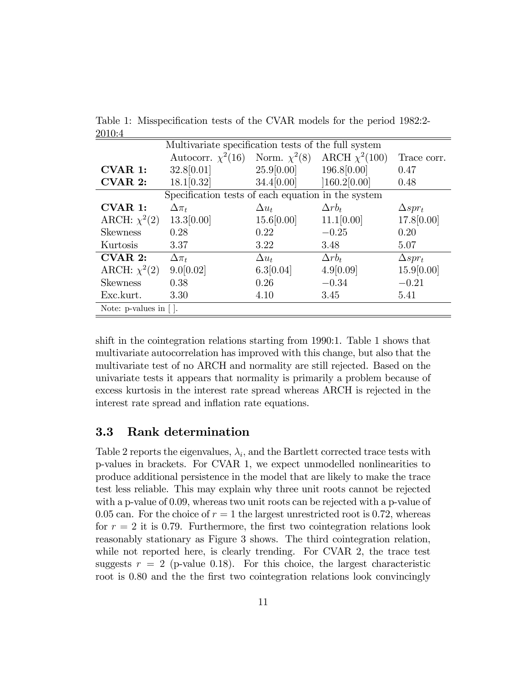|                                              |              |               | Trace corr.                                                                                                                                                              |
|----------------------------------------------|--------------|---------------|--------------------------------------------------------------------------------------------------------------------------------------------------------------------------|
| 32.8[0.01]                                   | 25.9[0.00]   | 196.8[0.00]   | 0.47                                                                                                                                                                     |
| 18.1[0.32]                                   | 34.4[0.00]   | [160.2[0.00]  | 0.48                                                                                                                                                                     |
|                                              |              |               |                                                                                                                                                                          |
| $\Delta \pi_t$                               | $\Delta u_t$ | $\Delta rb_t$ | $\Delta spr_t$                                                                                                                                                           |
| 13.3[0.00]                                   | 15.6[0.00]   | 11.1[0.00]    | 17.8 [0.00]                                                                                                                                                              |
| 0.28                                         | 0.22         | $-0.25$       | 0.20                                                                                                                                                                     |
| 3.37                                         | 3.22         | 3.48          | 5.07                                                                                                                                                                     |
| $\Delta \pi_t$                               | $\Delta u_t$ | $\Delta rb_t$ | $\Delta spr_t$                                                                                                                                                           |
| 9.0[0.02]                                    | 6.3[0.04]    | 4.9[0.09]     | 15.9[0.00]                                                                                                                                                               |
| 0.38                                         | 0.26         | $-0.34$       | $-0.21$                                                                                                                                                                  |
| 3.30                                         | 4.10         | 3.45          | 5.41                                                                                                                                                                     |
| Note: $p$ -values in $\lceil \cdot \rceil$ . |              |               |                                                                                                                                                                          |
|                                              |              |               | Multivariate specification tests of the full system<br>Autocorr. $\chi^2(16)$ Norm. $\chi^2(8)$ ARCH $\chi^2(100)$<br>Specification tests of each equation in the system |

Table 1: Misspecification tests of the CVAR models for the period 1982:2-2010:4

shift in the cointegration relations starting from 1990:1. Table 1 shows that multivariate autocorrelation has improved with this change, but also that the multivariate test of no ARCH and normality are still rejected. Based on the univariate tests it appears that normality is primarily a problem because of excess kurtosis in the interest rate spread whereas ARCH is rejected in the interest rate spread and inflation rate equations.

#### 3.3 Rank determination

Table 2 reports the eigenvalues,  $\lambda_i$ , and the Bartlett corrected trace tests with p-values in brackets. For CVAR 1, we expect unmodelled nonlinearities to produce additional persistence in the model that are likely to make the trace test less reliable. This may explain why three unit roots cannot be rejected with a p-value of 0.09, whereas two unit roots can be rejected with a p-value of 0.05 can. For the choice of  $r = 1$  the largest unrestricted root is 0.72, whereas for  $r = 2$  it is 0.79. Furthermore, the first two cointegration relations look reasonably stationary as Figure 3 shows. The third cointegration relation, while not reported here, is clearly trending. For CVAR 2, the trace test suggests  $r = 2$  (p-value 0.18). For this choice, the largest characteristic root is 0.80 and the the first two cointegration relations look convincingly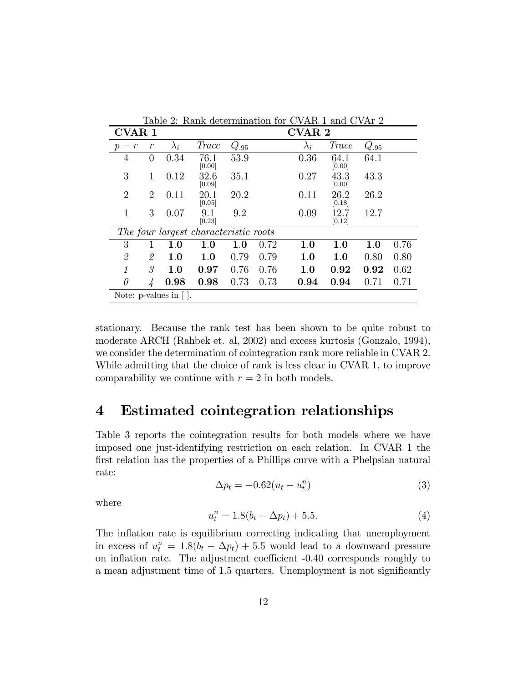|                                   | таріє 2. тіанк цевенніцатон юг С<br>$V \cap \Pi U \perp \alpha \Pi U \cup V \cap \Pi \neq \emptyset$ |                                              |                                       |           |      |             |                |           |      |  |
|-----------------------------------|------------------------------------------------------------------------------------------------------|----------------------------------------------|---------------------------------------|-----------|------|-------------|----------------|-----------|------|--|
| <b>CVAR1</b>                      |                                                                                                      |                                              | <b>CVAR2</b>                          |           |      |             |                |           |      |  |
| $\mathcal{r}$<br>$\boldsymbol{p}$ | $\mathcal{r}$                                                                                        | $\lambda_i$                                  | <i>Trace</i>                          | $Q_{.95}$ |      | $\lambda_i$ | <i>Trace</i>   | $Q_{.95}$ |      |  |
| 4                                 | 0                                                                                                    | 0.34                                         | 76.1<br>[0.00]                        | 53.9      |      | 0.36        | 64.1<br>[0.00] | 64.1      |      |  |
| 3                                 | 1                                                                                                    | 0.12                                         | 32.6<br>[0.09]                        | 35.1      |      | 0.27        | 43.3<br>[0.00] | 43.3      |      |  |
| $\overline{2}$                    | $\overline{2}$                                                                                       | 0.11                                         | 20.1<br>[0.05]                        | 20.2      |      | 0.11        | 26.2<br>[0.18] | 26.2      |      |  |
| $\mathbf 1$                       | 3                                                                                                    | 0.07                                         | 9.1<br>[0.23]                         | 9.2       |      | 0.09        | 12.7<br>[0.12] | 12.7      |      |  |
|                                   |                                                                                                      |                                              | The four largest characteristic roots |           |      |             |                |           |      |  |
| 3                                 | 1                                                                                                    | 1.0                                          | 1.0                                   | 1.0       | 0.72 | 1.0         | 1.0            | 1.0       | 0.76 |  |
| 2                                 | 2                                                                                                    | 1.0                                          | $1.0\,$                               | 0.79      | 0.79 | 1.0         | 1.0            | 0.80      | 0.80 |  |
| 1                                 | 3,                                                                                                   | 1.0                                          | 0.97                                  | 0.76      | 0.76 | 1.0         | 0.92           | 0.92      | 0.62 |  |
| $\theta$                          | 4                                                                                                    | 0.98                                         | 0.98                                  | 0.73      | 0.73 | 0.94        | 0.94           | 0.71      | 0.71 |  |
|                                   |                                                                                                      | Note: $p$ -values in $\lceil \cdot \rceil$ . |                                       |           |      |             |                |           |      |  |

Table 2: Rank determination for CVAR 1 and CVAr 2

stationary. Because the rank test has been shown to be quite robust to moderate ARCH (Rahbek et. al, 2002) and excess kurtosis (Gonzalo, 1994), we consider the determination of cointegration rank more reliable in CVAR 2. While admitting that the choice of rank is less clear in CVAR 1, to improve comparability we continue with  $r = 2$  in both models.

### 4 Estimated cointegration relationships

Table 3 reports the cointegration results for both models where we have imposed one just-identifying restriction on each relation. In CVAR 1 the first relation has the properties of a Phillips curve with a Phelpsian natural rate:

$$
\Delta p_t = -0.62(u_t - u_t^n) \tag{3}
$$

where

$$
u_t^n = 1.8(b_t - \Delta p_t) + 5.5.
$$
 (4)

The inflation rate is equilibrium correcting indicating that unemployment in excess of  $u_t^n = 1.8(b_t - \Delta p_t) + 5.5$  would lead to a downward pressure on inflation rate. The adjustment coefficient -0.40 corresponds roughly to a mean adjustment time of 1.5 quarters. Unemployment is not significantly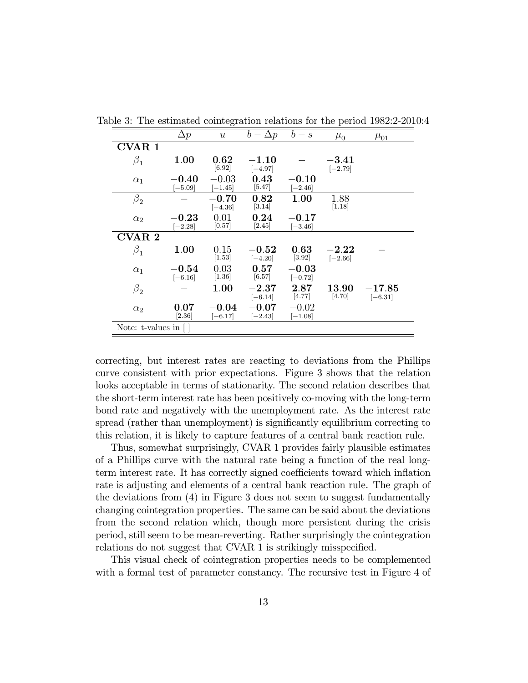|                   | $\Delta p$                        | $\boldsymbol{u}$     | $b - \Delta p$                    | $b-s$                | $\mu_0$                  | $\mu_{01}$            |
|-------------------|-----------------------------------|----------------------|-----------------------------------|----------------------|--------------------------|-----------------------|
| <b>CVAR 1</b>     |                                   |                      |                                   |                      |                          |                       |
| $\beta_1$         | 1.00                              | 0.62<br>[6.92]       | $-1.10\,$<br>$[-4.97]$            |                      | $-3.41\,$<br>$[-2.79]$   |                       |
| $\alpha_1$        | $-0.40$<br>$[-5.09]$              | $-0.03$<br>$[-1.45]$ | 0.43<br>$[5.47]$                  | $-0.10$<br>$[-2.46]$ |                          |                       |
| $\beta_{2}$       |                                   | $-0.70$<br>$[-4.36]$ | 0.82<br>$[3.14]$                  | 1.00                 | 1.88<br>$[1.18]$         |                       |
| $\alpha_2$        | $\boldsymbol{-0.23}$<br>$[-2.28]$ | 0.01<br>[0.57]       | 0.24<br>$[2.45]$                  | $-0.17$<br>$[-3.46]$ |                          |                       |
| CVAR <sub>2</sub> |                                   |                      |                                   |                      |                          |                       |
| $\beta_1$         | 1.00                              | 0.15<br>$[1.53]$     | $\bf -0.52$<br>$[-4.20]$          | 0.63<br>[3.92]       | $\bf -2.22$<br>$[-2.66]$ |                       |
| $\alpha_1$        | $-0.54$<br>$[-6.16]$              | 0.03<br>$[1.36]$     | 0.57<br>[6.57]                    | $-0.03$<br>$[-0.72]$ |                          |                       |
| $\beta_2$         |                                   | 1.00                 | $\boldsymbol{-2.37}$<br>$[-6.14]$ | 2.87<br>[4.77]       | 13.90<br>[4.70]          | $-17.85$<br>$[-6.31]$ |
| $\alpha_2$        | 0.07<br>[2.36]                    | $-0.04$<br>$[-6.17]$ | $\bf -0.07$<br>$[-2.43]$          | $-0.02$<br>$[-1.08]$ |                          |                       |
| Note: t-values in |                                   |                      |                                   |                      |                          |                       |

Table 3: The estimated cointegration relations for the period 1982:2-2010:4

correcting, but interest rates are reacting to deviations from the Phillips curve consistent with prior expectations. Figure 3 shows that the relation looks acceptable in terms of stationarity. The second relation describes that the short-term interest rate has been positively co-moving with the long-term bond rate and negatively with the unemployment rate. As the interest rate spread (rather than unemployment) is significantly equilibrium correcting to this relation, it is likely to capture features of a central bank reaction rule.

Thus, somewhat surprisingly, CVAR 1 provides fairly plausible estimates of a Phillips curve with the natural rate being a function of the real longterm interest rate. It has correctly signed coefficients toward which inflation rate is adjusting and elements of a central bank reaction rule. The graph of the deviations from (4) in Figure 3 does not seem to suggest fundamentally changing cointegration properties. The same can be said about the deviations from the second relation which, though more persistent during the crisis period, still seem to be mean-reverting. Rather surprisingly the cointegration relations do not suggest that CVAR 1 is strikingly misspecified.

This visual check of cointegration properties needs to be complemented with a formal test of parameter constancy. The recursive test in Figure 4 of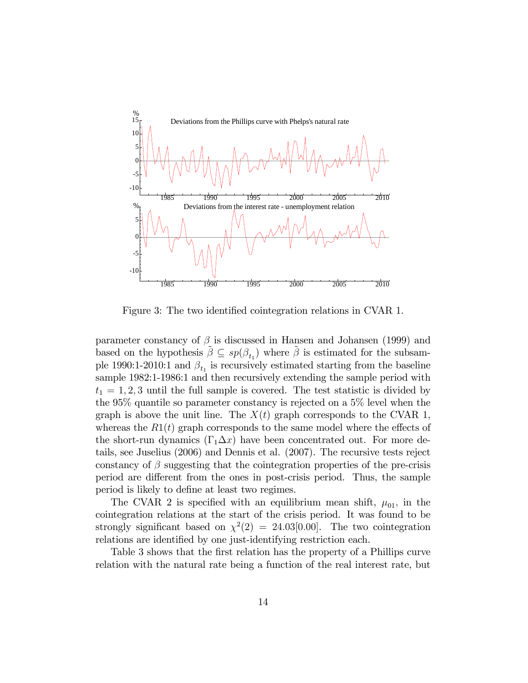

Figure 3: The two identified cointegration relations in CVAR 1.

parameter constancy of  $\beta$  is discussed in Hansen and Johansen (1999) and based on the hypothesis  $\tilde{\beta} \subseteq sp(\beta_{t_1})$  where  $\tilde{\beta}$  is estimated for the subsample 1990:1-2010:1 and  $\beta_{t_1}$  is recursively estimated starting from the baseline sample 1982:1-1986:1 and then recursively extending the sample period with  $t_1 = 1, 2, 3$  until the full sample is covered. The test statistic is divided by the 95% quantile so parameter constancy is rejected on a 5% level when the graph is above the unit line. The  $X(t)$  graph corresponds to the CVAR 1, whereas the  $R1(t)$  graph corresponds to the same model where the effects of the short-run dynamics  $(\Gamma_1 \Delta x)$  have been concentrated out. For more details, see Juselius (2006) and Dennis et al. (2007). The recursive tests reject constancy of  $\beta$  suggesting that the cointegration properties of the pre-crisis period are different from the ones in post-crisis period. Thus, the sample period is likely to define at least two regimes.

The CVAR 2 is specified with an equilibrium mean shift,  $\mu_{01}$ , in the cointegration relations at the start of the crisis period. It was found to be strongly significant based on  $\chi^2(2) = 24.03[0.00]$ . The two cointegration relations are identified by one just-identifying restriction each.

Table 3 shows that the first relation has the property of a Phillips curve relation with the natural rate being a function of the real interest rate, but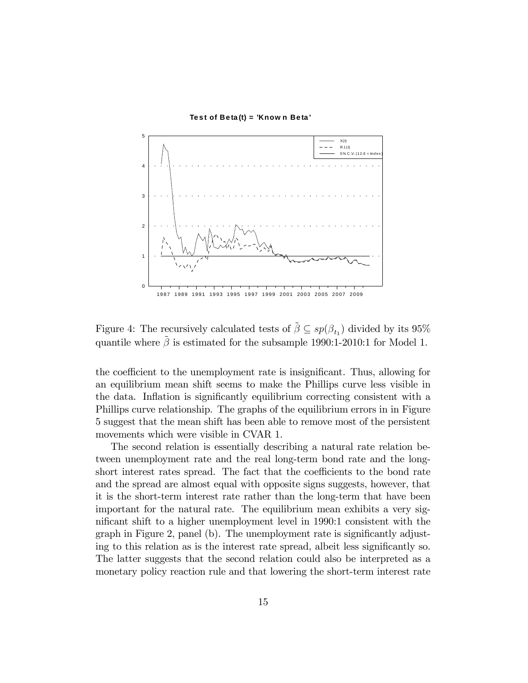



Figure 4: The recursively calculated tests of  $\tilde{\beta} \subseteq sp(\beta_{t_1})$  divided by its 95% quantile where  $\tilde{\beta}$  is estimated for the subsample 1990:1-2010:1 for Model 1.

the coefficient to the unemployment rate is insignificant. Thus, allowing for an equilibrium mean shift seems to make the Phillips curve less visible in the data. Inflation is significantly equilibrium correcting consistent with a Phillips curve relationship. The graphs of the equilibrium errors in in Figure 5 suggest that the mean shift has been able to remove most of the persistent movements which were visible in CVAR 1.

The second relation is essentially describing a natural rate relation between unemployment rate and the real long-term bond rate and the longshort interest rates spread. The fact that the coefficients to the bond rate and the spread are almost equal with opposite signs suggests, however, that it is the short-term interest rate rather than the long-term that have been important for the natural rate. The equilibrium mean exhibits a very significant shift to a higher unemployment level in 1990:1 consistent with the graph in Figure 2, panel (b). The unemployment rate is significantly adjusting to this relation as is the interest rate spread, albeit less significantly so. The latter suggests that the second relation could also be interpreted as a monetary policy reaction rule and that lowering the short-term interest rate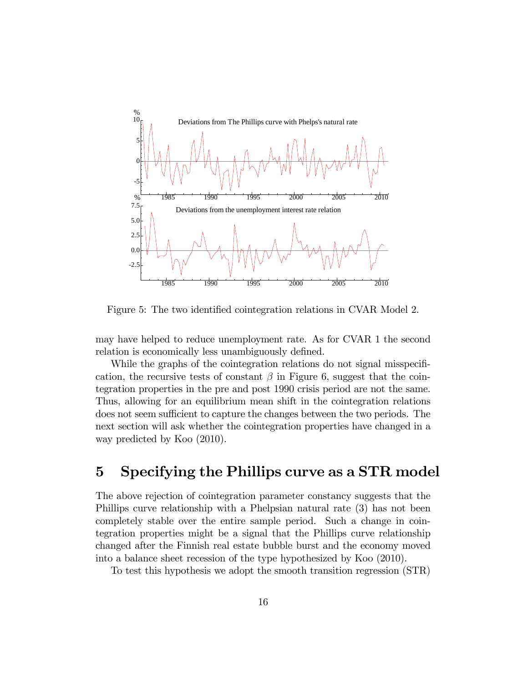

Figure 5: The two identified cointegration relations in CVAR Model 2.

may have helped to reduce unemployment rate. As for CVAR 1 the second relation is economically less unambiguously defined.

While the graphs of the cointegration relations do not signal misspecification, the recursive tests of constant  $\beta$  in Figure 6, suggest that the cointegration properties in the pre and post 1990 crisis period are not the same. Thus, allowing for an equilibrium mean shift in the cointegration relations does not seem sufficient to capture the changes between the two periods. The next section will ask whether the cointegration properties have changed in a way predicted by Koo (2010).

## 5 Specifying the Phillips curve as a STR model

The above rejection of cointegration parameter constancy suggests that the Phillips curve relationship with a Phelpsian natural rate (3) has not been completely stable over the entire sample period. Such a change in cointegration properties might be a signal that the Phillips curve relationship changed after the Finnish real estate bubble burst and the economy moved into a balance sheet recession of the type hypothesized by Koo (2010).

To test this hypothesis we adopt the smooth transition regression (STR)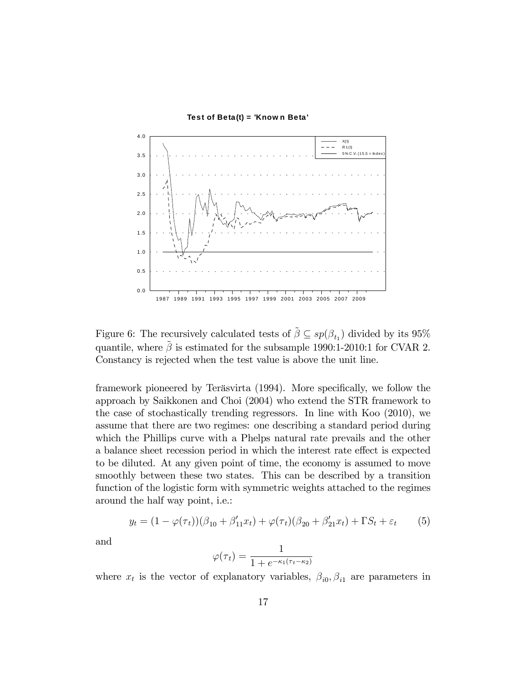

Figure 6: The recursively calculated tests of  $\tilde{\beta} \subseteq sp(\beta_{t_1})$  divided by its 95% quantile, where  $\tilde{\beta}$  is estimated for the subsample 1990:1-2010:1 for CVAR 2. Constancy is rejected when the test value is above the unit line.

framework pioneered by Teräsvirta (1994). More specifically, we follow the approach by Saikkonen and Choi (2004) who extend the STR framework to the case of stochastically trending regressors. In line with Koo (2010), we assume that there are two regimes: one describing a standard period during which the Phillips curve with a Phelps natural rate prevails and the other a balance sheet recession period in which the interest rate effect is expected to be diluted. At any given point of time, the economy is assumed to move smoothly between these two states. This can be described by a transition function of the logistic form with symmetric weights attached to the regimes around the half way point, i.e.:

$$
y_t = (1 - \varphi(\tau_t))(\beta_{10} + \beta'_{11}x_t) + \varphi(\tau_t)(\beta_{20} + \beta'_{21}x_t) + \Gamma S_t + \varepsilon_t \tag{5}
$$

and

$$
\varphi(\tau_t) = \frac{1}{1 + e^{-\kappa_1(\tau_t - \kappa_2)}}
$$

where  $x_t$  is the vector of explanatory variables,  $\beta_{i0}, \beta_{i1}$  are parameters in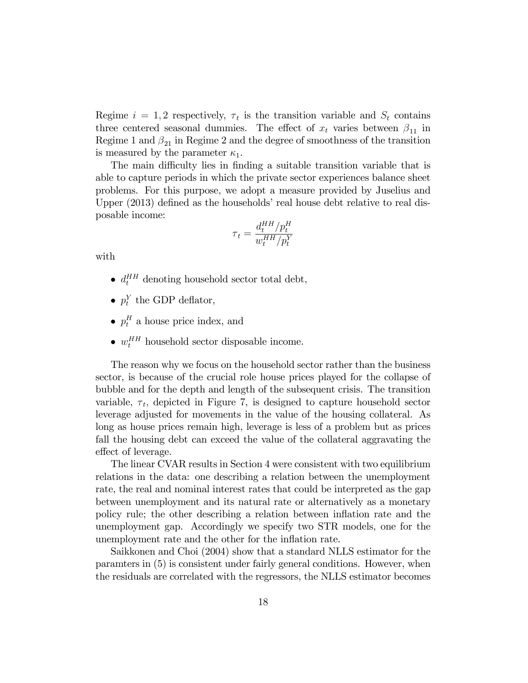Regime  $i = 1, 2$  respectively,  $\tau_t$  is the transition variable and  $S_t$  contains three centered seasonal dummies. The effect of  $x_t$  varies between  $\beta_{11}$  in Regime 1 and  $\beta_{21}$  in Regime 2 and the degree of smoothness of the transition is measured by the parameter  $\kappa_1$ .

The main difficulty lies in finding a suitable transition variable that is able to capture periods in which the private sector experiences balance sheet problems. For this purpose, we adopt a measure provided by Juselius and Upper  $(2013)$  defined as the households' real house debt relative to real disposable income:

$$
\tau_t = \frac{d_t^{HH}/p_t^H}{w_t^{HH}/p_t^Y}
$$

with

- $\bullet$   $d_t^{HH}$  denoting household sector total debt,
- $p_t^Y$  the GDP deflator,
- $p_t^H$  a house price index, and
- $\bullet$   $w_t^{HH}$  household sector disposable income.

The reason why we focus on the household sector rather than the business sector, is because of the crucial role house prices played for the collapse of bubble and for the depth and length of the subsequent crisis. The transition variable,  $\tau_t$ , depicted in Figure 7, is designed to capture household sector leverage adjusted for movements in the value of the housing collateral. As long as house prices remain high, leverage is less of a problem but as prices fall the housing debt can exceed the value of the collateral aggravating the effect of leverage.

The linear CVAR results in Section 4 were consistent with two equilibrium relations in the data: one describing a relation between the unemployment rate, the real and nominal interest rates that could be interpreted as the gap between unemployment and its natural rate or alternatively as a monetary policy rule; the other describing a relation between inflation rate and the unemployment gap. Accordingly we specify two STR models, one for the unemployment rate and the other for the inflation rate.

Saikkonen and Choi (2004) show that a standard NLLS estimator for the paramters in (5) is consistent under fairly general conditions. However, when the residuals are correlated with the regressors, the NLLS estimator becomes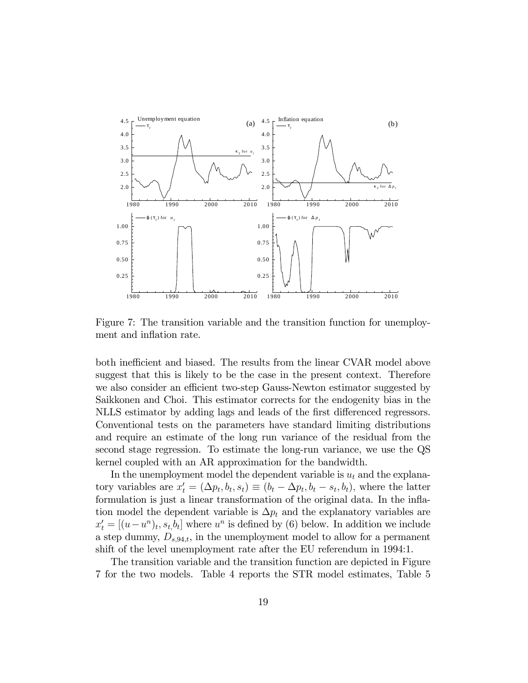

Figure 7: The transition variable and the transition function for unemployment and inflation rate.

both inefficient and biased. The results from the linear CVAR model above suggest that this is likely to be the case in the present context. Therefore we also consider an efficient two-step Gauss-Newton estimator suggested by Saikkonen and Choi. This estimator corrects for the endogenity bias in the NLLS estimator by adding lags and leads of the first differenced regressors. Conventional tests on the parameters have standard limiting distributions and require an estimate of the long run variance of the residual from the second stage regression. To estimate the long-run variance, we use the QS kernel coupled with an AR approximation for the bandwidth.

In the unemployment model the dependent variable is  $u_t$  and the explanatory variables are  $x'_t = (\Delta p_t, b_t, s_t) \equiv (b_t - \Delta p_t, b_t - s_t, b_t)$ , where the latter formulation is just a linear transformation of the original data. In the inflation model the dependent variable is  $\Delta p_t$  and the explanatory variables are  $x'_t = [(u - u^n)_t, s_t]$ , where  $u^n$  is defined by (6) below. In addition we include a step dummy,  $D_{s,94,t}$ , in the unemployment model to allow for a permanent shift of the level unemployment rate after the EU referendum in 1994:1.

The transition variable and the transition function are depicted in Figure 7 for the two models. Table 4 reports the STR model estimates, Table 5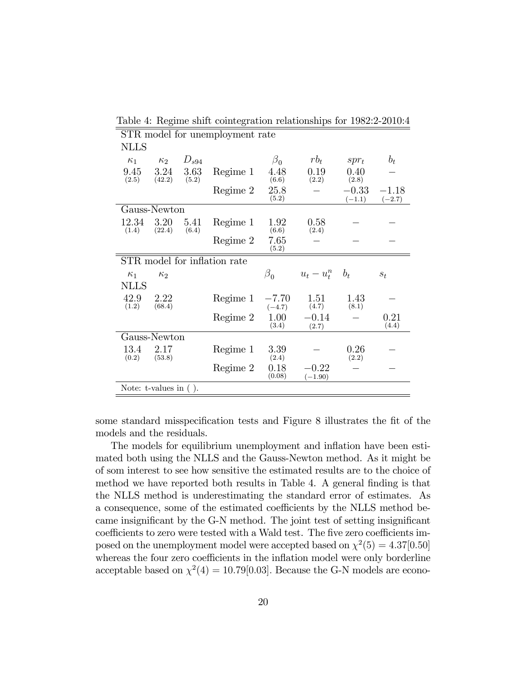| STR model for unemployment rate |                             |               |                              |                     |                        |                     |                     |
|---------------------------------|-----------------------------|---------------|------------------------------|---------------------|------------------------|---------------------|---------------------|
| <b>NLLS</b>                     |                             |               |                              |                     |                        |                     |                     |
| $\kappa_1$                      | $\kappa_2$                  | $D_{s94}$     |                              | $\beta_{0}$         | $rb_t$                 | $spr_t$             | $b_t$               |
| 9.45<br>(2.5)                   | 3.24<br>(42.2)              | 3.63<br>(5.2) | Regime 1                     | 4.48<br>(6.6)       | 0.19<br>(2.2)          | 0.40<br>(2.8)       |                     |
|                                 |                             |               | Regime 2                     | 25.8<br>(5.2)       |                        | $-0.33$<br>$(-1.1)$ | $-1.18$<br>$(-2.7)$ |
|                                 | Gauss-Newton                |               |                              |                     |                        |                     |                     |
| 12.34<br>(1.4)                  | 3.20<br>(22.4)              | 5.41<br>(6.4) | Regime 1                     | 1.92<br>(6.6)       | 0.58<br>(2.4)          |                     |                     |
|                                 |                             |               | Regime 2                     | 7.65<br>(5.2)       |                        |                     |                     |
|                                 |                             |               | STR model for inflation rate |                     |                        |                     |                     |
| $\kappa_1$                      | $\kappa_2$                  |               |                              | $\beta_0$           | $u_t - u_t^n$ $b_t$    |                     | $S_t$               |
| <b>NLLS</b>                     |                             |               |                              |                     |                        |                     |                     |
| 42.9<br>(1.2)                   | 2.22<br>(68.4)              |               | Regime 1                     | $-7.70$<br>$(-4.7)$ | 1.51<br>(4.7)          | 1.43<br>(8.1)       |                     |
|                                 |                             |               | Regime 2                     | 1.00<br>(3.4)       | $-0.14$<br>(2.7)       |                     | 0.21<br>(4.4)       |
|                                 | Gauss-Newton                |               |                              |                     |                        |                     |                     |
| 13.4<br>(0.2)                   | 2.17<br>(53.8)              |               | Regime 1                     | 3.39<br>(2.4)       |                        | 0.26<br>(2.2)       |                     |
|                                 |                             |               | Regime 2                     | 0.18<br>(0.08)      | $-0.22\,$<br>$(-1.90)$ |                     |                     |
|                                 | Note: $t$ -values in $($ ). |               |                              |                     |                        |                     |                     |

Table 4: Regime shift cointegration relationships for 1982:2-2010:4

some standard misspecification tests and Figure 8 illustrates the fit of the models and the residuals.

The models for equilibrium unemployment and inflation have been estimated both using the NLLS and the Gauss-Newton method. As it might be of som interest to see how sensitive the estimated results are to the choice of method we have reported both results in Table 4. A general finding is that the NLLS method is underestimating the standard error of estimates. As a consequence, some of the estimated coefficients by the NLLS method became insignificant by the G-N method. The joint test of setting insignificant coefficients to zero were tested with a Wald test. The five zero coefficients imposed on the unemployment model were accepted based on  $\chi^2(5) = 4.37[0.50]$ whereas the four zero coefficients in the inflation model were only borderline acceptable based on  $\chi^2(4) = 10.79[0.03]$ . Because the G-N models are econo-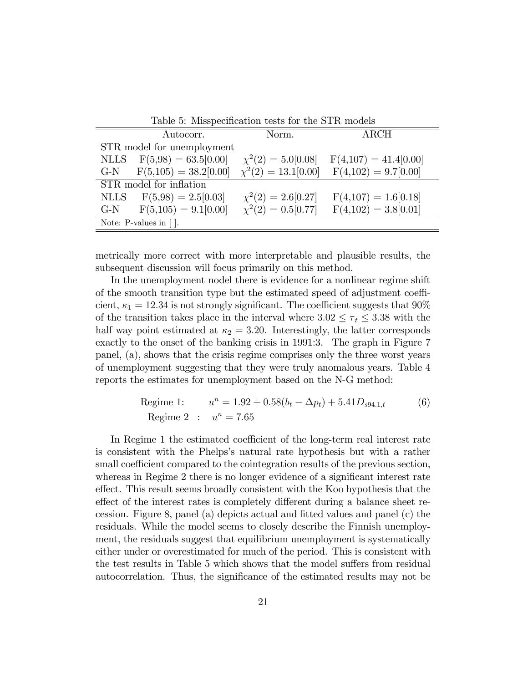| Table 5: Misspecification tests for the STR models |                             |                          |                         |  |  |  |  |
|----------------------------------------------------|-----------------------------|--------------------------|-------------------------|--|--|--|--|
|                                                    | Autocorr.                   | Norm.                    | ARCH                    |  |  |  |  |
|                                                    | STR model for unemployment  |                          |                         |  |  |  |  |
|                                                    | NLLS $F(5,98) = 63.5[0.00]$ | $\chi^2(2) = 5.0[0.08]$  | $F(4,107) = 41.4[0.00]$ |  |  |  |  |
| $G-N$                                              | $F(5,105) = 38.2[0.00]$     | $\chi^2(2) = 13.1[0.00]$ | $F(4,102) = 9.7[0.00]$  |  |  |  |  |
|                                                    | STR model for inflation     |                          |                         |  |  |  |  |
|                                                    | NLLS $F(5,98) = 2.5[0.03]$  | $\chi^2(2) = 2.6[0.27]$  | $F(4,107) = 1.6[0.18]$  |  |  |  |  |
| $G-N$                                              | $F(5,105) = 9.1[0.00]$      | $\chi^2(2) = 0.5[0.77]$  | $F(4,102) = 3.8[0.01]$  |  |  |  |  |
| Note: $P$ -values in $\lceil \cdot \rceil$ .       |                             |                          |                         |  |  |  |  |

metrically more correct with more interpretable and plausible results, the subsequent discussion will focus primarily on this method.

In the unemployment nodel there is evidence for a nonlinear regime shift of the smooth transition type but the estimated speed of adjustment coefficient,  $\kappa_1 = 12.34$  is not strongly significant. The coefficient suggests that  $90\%$ of the transition takes place in the interval where  $3.02 \leq \tau_t \leq 3.38$  with the half way point estimated at  $\kappa_2 = 3.20$ . Interestingly, the latter corresponds exactly to the onset of the banking crisis in 1991:3. The graph in Figure 7 panel, (a), shows that the crisis regime comprises only the three worst years of unemployment suggesting that they were truly anomalous years. Table 4 reports the estimates for unemployment based on the N-G method:

Regime 1: 
$$
u^n = 1.92 + 0.58(b_t - \Delta p_t) + 5.41D_{s94.1,t}
$$
 (6)  
Regime 2 :  $u^n = 7.65$ 

In Regime 1 the estimated coefficient of the long-term real interest rate is consistent with the Phelpsís natural rate hypothesis but with a rather small coefficient compared to the cointegration results of the previous section, whereas in Regime 2 there is no longer evidence of a significant interest rate effect. This result seems broadly consistent with the Koo hypothesis that the effect of the interest rates is completely different during a balance sheet recession. Figure 8, panel (a) depicts actual and Ötted values and panel (c) the residuals. While the model seems to closely describe the Finnish unemployment, the residuals suggest that equilibrium unemployment is systematically either under or overestimated for much of the period. This is consistent with the test results in Table 5 which shows that the model suffers from residual autocorrelation. Thus, the significance of the estimated results may not be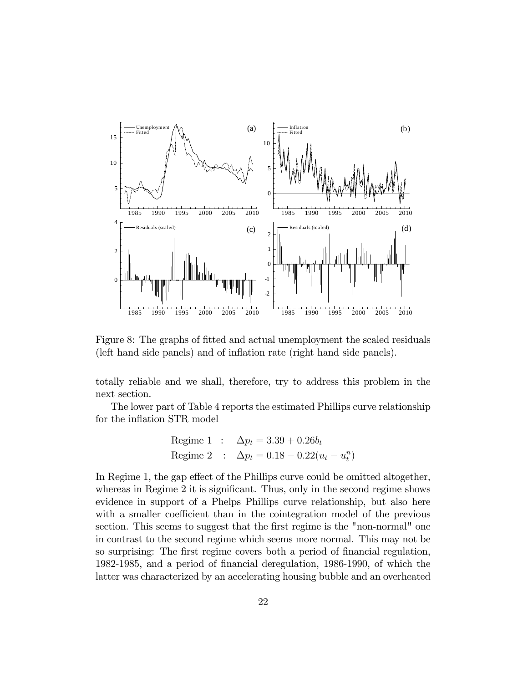

Figure 8: The graphs of fitted and actual unemployment the scaled residuals (left hand side panels) and of inflation rate (right hand side panels).

totally reliable and we shall, therefore, try to address this problem in the next section.

The lower part of Table 4 reports the estimated Phillips curve relationship for the inflation STR model

$$
\begin{aligned}\n\text{Regime 1} & : \quad \Delta p_t = 3.39 + 0.26b_t \\
\text{Regime 2} & : \quad \Delta p_t = 0.18 - 0.22(u_t - u_t^n)\n\end{aligned}
$$

In Regime 1, the gap effect of the Phillips curve could be omitted altogether, whereas in Regime  $2$  it is significant. Thus, only in the second regime shows evidence in support of a Phelps Phillips curve relationship, but also here with a smaller coefficient than in the cointegration model of the previous section. This seems to suggest that the first regime is the "non-normal" one in contrast to the second regime which seems more normal. This may not be so surprising: The first regime covers both a period of financial regulation, 1982-1985, and a period of Önancial deregulation, 1986-1990, of which the latter was characterized by an accelerating housing bubble and an overheated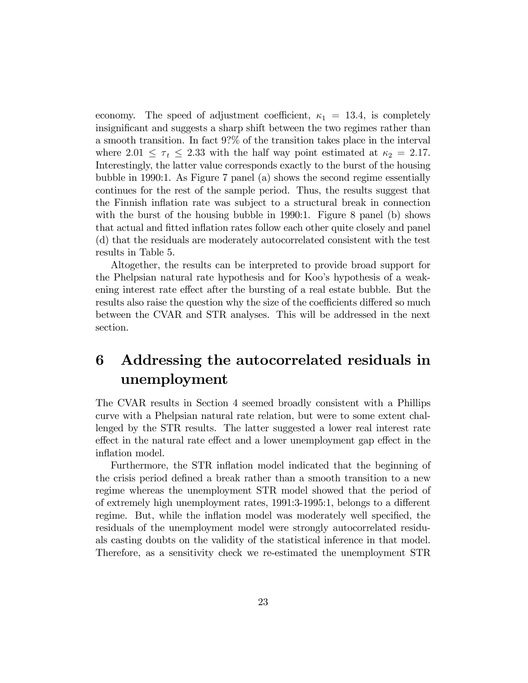economy. The speed of adjustment coefficient,  $\kappa_1 = 13.4$ , is completely insignificant and suggests a sharp shift between the two regimes rather than a smooth transition. In fact 9?% of the transition takes place in the interval where  $2.01 \leq \tau_t \leq 2.33$  with the half way point estimated at  $\kappa_2 = 2.17$ . Interestingly, the latter value corresponds exactly to the burst of the housing bubble in 1990:1. As Figure 7 panel (a) shows the second regime essentially continues for the rest of the sample period. Thus, the results suggest that the Finnish inflation rate was subject to a structural break in connection with the burst of the housing bubble in 1990:1. Figure 8 panel (b) shows that actual and fitted inflation rates follow each other quite closely and panel (d) that the residuals are moderately autocorrelated consistent with the test results in Table 5.

Altogether, the results can be interpreted to provide broad support for the Phelpsian natural rate hypothesis and for Koo's hypothesis of a weakening interest rate effect after the bursting of a real estate bubble. But the results also raise the question why the size of the coefficients differed so much between the CVAR and STR analyses. This will be addressed in the next section.

## 6 Addressing the autocorrelated residuals in unemployment

The CVAR results in Section 4 seemed broadly consistent with a Phillips curve with a Phelpsian natural rate relation, but were to some extent challenged by the STR results. The latter suggested a lower real interest rate effect in the natural rate effect and a lower unemployment gap effect in the inflation model.

Furthermore, the STR inflation model indicated that the beginning of the crisis period defined a break rather than a smooth transition to a new regime whereas the unemployment STR model showed that the period of of extremely high unemployment rates, 1991:3-1995:1, belongs to a different regime. But, while the inflation model was moderately well specified, the residuals of the unemployment model were strongly autocorrelated residuals casting doubts on the validity of the statistical inference in that model. Therefore, as a sensitivity check we re-estimated the unemployment STR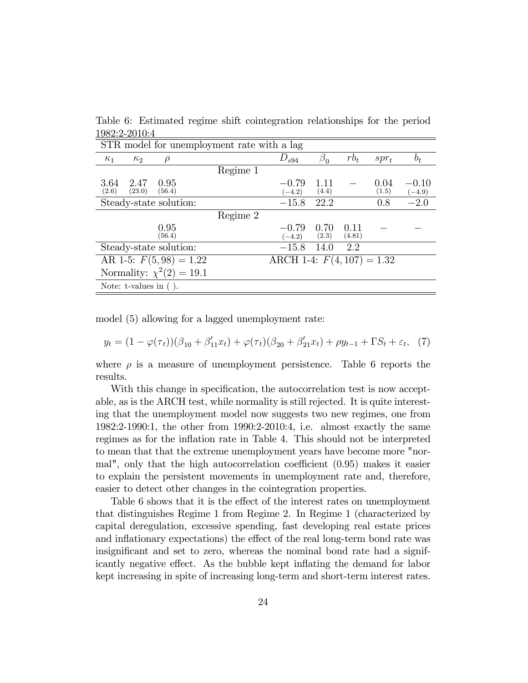Table 6: Estimated regime shift cointegration relationships for the period 1982:2-2010:4

| STR model for unemployment rate with a lag        |          |                              |               |                |               |                     |  |  |
|---------------------------------------------------|----------|------------------------------|---------------|----------------|---------------|---------------------|--|--|
| $\kappa_1$<br>$\kappa_{2}$<br>$\rho$              |          | $D_{s94}$                    | $\beta_0$     | $rb_t$         | $spr_t$       | $b_t$               |  |  |
|                                                   | Regime 1 |                              |               |                |               |                     |  |  |
| 3.64<br>2.47<br>0.95<br>(2.6)<br>(23.0)<br>(56.4) |          | $-0.79$<br>$(-4.2)$          | 1.11<br>(4.4) |                | 0.04<br>(1.5) | $-0.10$<br>$(-4.9)$ |  |  |
| Steady-state solution:                            |          | $-15.8$                      | 22.2          |                | 0.8           | $-2.0$              |  |  |
|                                                   | Regime 2 |                              |               |                |               |                     |  |  |
| 0.95<br>(56.4)                                    |          | $-0.79$<br>$(-4.2)$          | 0.70<br>(2.3) | 0.11<br>(4.81) |               |                     |  |  |
| Steady-state solution:                            |          | $-15.8$                      | 14.0          | 2.2            |               |                     |  |  |
| AR 1-5: $F(5,98) = 1.22$                          |          | ARCH 1-4: $F(4, 107) = 1.32$ |               |                |               |                     |  |  |
| Normality: $\chi^2(2) = 19.1$                     |          |                              |               |                |               |                     |  |  |
| Note: $t$ -values in $($ ).                       |          |                              |               |                |               |                     |  |  |

model (5) allowing for a lagged unemployment rate:

$$
y_t = (1 - \varphi(\tau_t))(\beta_{10} + \beta'_{11}x_t) + \varphi(\tau_t)(\beta_{20} + \beta'_{21}x_t) + \rho y_{t-1} + \Gamma S_t + \varepsilon_t, (7)
$$

where  $\rho$  is a measure of unemployment persistence. Table 6 reports the results.

With this change in specification, the autocorrelation test is now acceptable, as is the ARCH test, while normality is still rejected. It is quite interesting that the unemployment model now suggests two new regimes, one from 1982:2-1990:1, the other from 1990:2-2010:4, i.e. almost exactly the same regimes as for the inflation rate in Table 4. This should not be interpreted to mean that that the extreme unemployment years have become more "normal", only that the high autocorrelation coefficient  $(0.95)$  makes it easier to explain the persistent movements in unemployment rate and, therefore, easier to detect other changes in the cointegration properties.

Table 6 shows that it is the effect of the interest rates on unemployment that distinguishes Regime 1 from Regime 2. In Regime 1 (characterized by capital deregulation, excessive spending, fast developing real estate prices and inflationary expectations) the effect of the real long-term bond rate was insignificant and set to zero, whereas the nominal bond rate had a signifiicantly negative effect. As the bubble kept inflating the demand for labor kept increasing in spite of increasing long-term and short-term interest rates.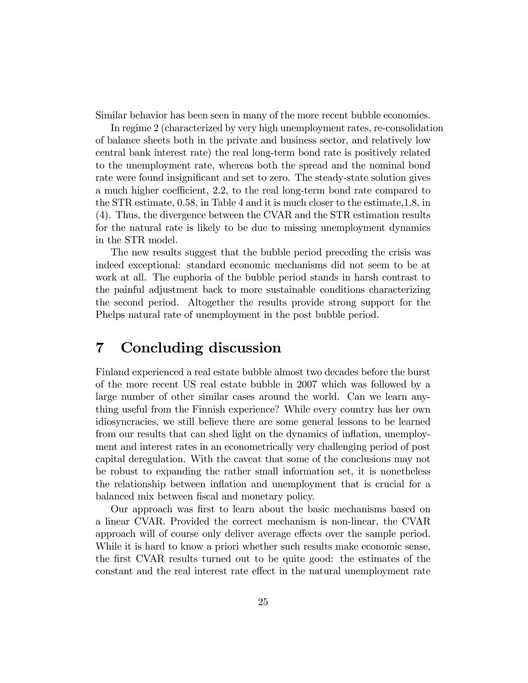Similar behavior has been seen in many of the more recent bubble economies.

In regime 2 (characterized by very high unemployment rates, re-consolidation of balance sheets both in the private and business sector, and relatively low central bank interest rate) the real long-term bond rate is positively related to the unemployment rate, whereas both the spread and the nominal bond rate were found insignificant and set to zero. The steady-state solution gives a much higher coefficient, 2.2, to the real long-term bond rate compared to the STR estimate, 0.58, in Table 4 and it is much closer to the estimate,1.8, in (4). Thus, the divergence between the CVAR and the STR estimation results for the natural rate is likely to be due to missing unemployment dynamics in the STR model.

The new results suggest that the bubble period preceding the crisis was indeed exceptional: standard economic mechanisms did not seem to be at work at all. The euphoria of the bubble period stands in harsh contrast to the painful adjustment back to more sustainable conditions characterizing the second period. Altogether the results provide strong support for the Phelps natural rate of unemployment in the post bubble period.

### 7 Concluding discussion

Finland experienced a real estate bubble almost two decades before the burst of the more recent US real estate bubble in 2007 which was followed by a large number of other similar cases around the world. Can we learn anything useful from the Finnish experience? While every country has her own idiosyncracies, we still believe there are some general lessons to be learned from our results that can shed light on the dynamics of inflation, unemployment and interest rates in an econometrically very challenging period of post capital deregulation. With the caveat that some of the conclusions may not be robust to expanding the rather small information set, it is nonetheless the relationship between inflation and unemployment that is crucial for a balanced mix between fiscal and monetary policy.

Our approach was first to learn about the basic mechanisms based on a linear CVAR. Provided the correct mechanism is non-linear, the CVAR approach will of course only deliver average effects over the sample period. While it is hard to know a priori whether such results make economic sense, the first CVAR results turned out to be quite good: the estimates of the constant and the real interest rate effect in the natural unemployment rate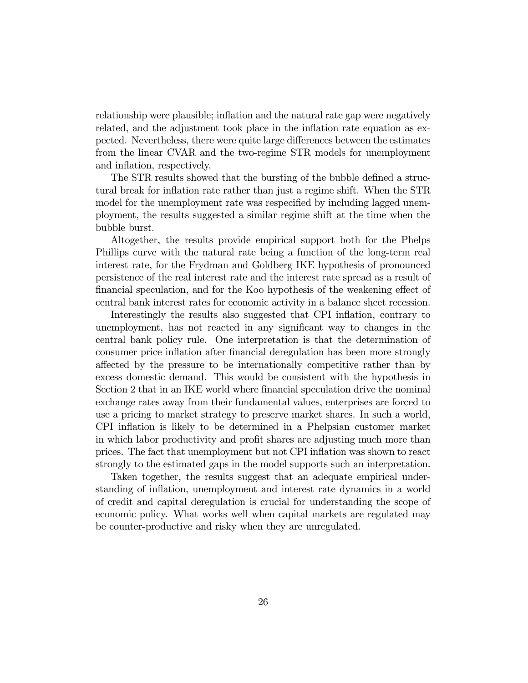relationship were plausible; inflation and the natural rate gap were negatively related, and the adjustment took place in the inflation rate equation as expected. Nevertheless, there were quite large differences between the estimates from the linear CVAR and the two-regime STR models for unemployment and inflation, respectively.

The STR results showed that the bursting of the bubble defined a structural break for inflation rate rather than just a regime shift. When the STR model for the unemployment rate was respecified by including lagged unemployment, the results suggested a similar regime shift at the time when the bubble burst.

Altogether, the results provide empirical support both for the Phelps Phillips curve with the natural rate being a function of the long-term real interest rate, for the Frydman and Goldberg IKE hypothesis of pronounced persistence of the real interest rate and the interest rate spread as a result of financial speculation, and for the Koo hypothesis of the weakening effect of central bank interest rates for economic activity in a balance sheet recession.

Interestingly the results also suggested that CPI inflation, contrary to unemployment, has not reacted in any significant way to changes in the central bank policy rule. One interpretation is that the determination of consumer price ináation after Önancial deregulation has been more strongly a§ected by the pressure to be internationally competitive rather than by excess domestic demand. This would be consistent with the hypothesis in Section 2 that in an IKE world where financial speculation drive the nominal exchange rates away from their fundamental values, enterprises are forced to use a pricing to market strategy to preserve market shares. In such a world, CPI ináation is likely to be determined in a Phelpsian customer market in which labor productivity and profit shares are adjusting much more than prices. The fact that unemployment but not CPI ináation was shown to react strongly to the estimated gaps in the model supports such an interpretation.

Taken together, the results suggest that an adequate empirical understanding of inflation, unemployment and interest rate dynamics in a world of credit and capital deregulation is crucial for understanding the scope of economic policy. What works well when capital markets are regulated may be counter-productive and risky when they are unregulated.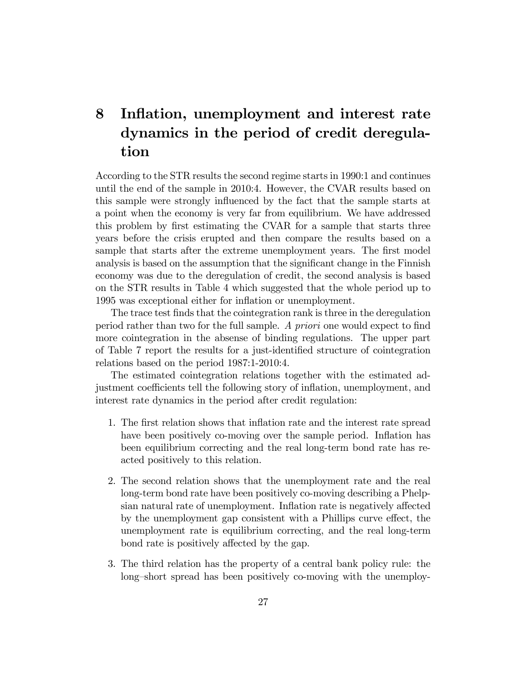## 8 Inflation, unemployment and interest rate dynamics in the period of credit deregulation

According to the STR results the second regime starts in 1990:1 and continues until the end of the sample in 2010:4. However, the CVAR results based on this sample were strongly influenced by the fact that the sample starts at a point when the economy is very far from equilibrium. We have addressed this problem by first estimating the CVAR for a sample that starts three years before the crisis erupted and then compare the results based on a sample that starts after the extreme unemployment years. The first model analysis is based on the assumption that the significant change in the Finnish economy was due to the deregulation of credit, the second analysis is based on the STR results in Table 4 which suggested that the whole period up to 1995 was exceptional either for inflation or unemployment.

The trace test finds that the cointegration rank is three in the deregulation period rather than two for the full sample. A *priori* one would expect to find more cointegration in the absense of binding regulations. The upper part of Table 7 report the results for a just-identified structure of cointegration relations based on the period 1987:1-2010:4.

The estimated cointegration relations together with the estimated adjustment coefficients tell the following story of inflation, unemployment, and interest rate dynamics in the period after credit regulation:

- 1. The Örst relation shows that ináation rate and the interest rate spread have been positively co-moving over the sample period. Inflation has been equilibrium correcting and the real long-term bond rate has reacted positively to this relation.
- 2. The second relation shows that the unemployment rate and the real long-term bond rate have been positively co-moving describing a Phelpsian natural rate of unemployment. Inflation rate is negatively affected by the unemployment gap consistent with a Phillips curve effect, the unemployment rate is equilibrium correcting, and the real long-term bond rate is positively affected by the gap.
- 3. The third relation has the property of a central bank policy rule: the long-short spread has been positively co-moving with the unemploy-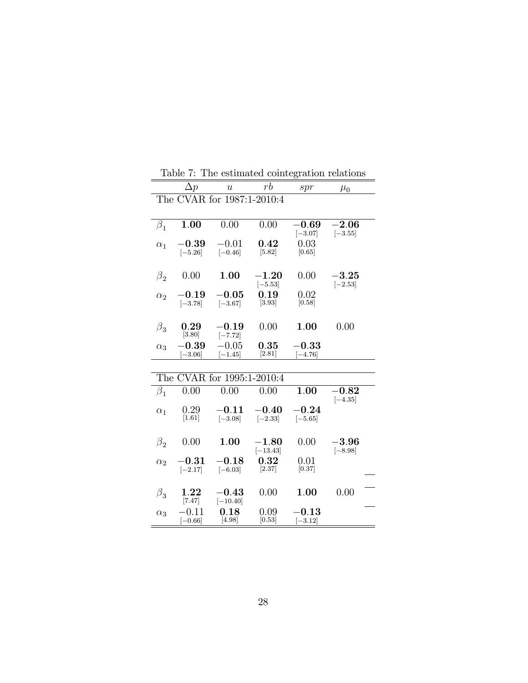|            | $\Delta p$                        | $\boldsymbol{u}$           | rb                     | spr                               | $\mu_0$                  |
|------------|-----------------------------------|----------------------------|------------------------|-----------------------------------|--------------------------|
|            |                                   | The CVAR for 1987:1-2010:4 |                        |                                   |                          |
|            |                                   |                            |                        |                                   |                          |
| $\beta_1$  | 1.00                              | 0.00                       | 0.00                   | $-0.69$<br>$[-3.07]$              | $-2.06$<br>$[-3.55]$     |
| $\alpha_1$ | $\boldsymbol{-0.39}$<br>$[-5.26]$ | $-0.01$<br>$[-0.46]$       | $\,0.42\,$<br>[5.82]   | 0.03<br>[0.65]                    |                          |
| $\beta_2$  | 0.00                              | 1.00                       | $-1.20\,$<br>$[-5.53]$ | 0.00                              | $-3.25\,$<br>$[-2.53]$   |
| $\alpha_2$ | $-0.19$<br>$[-3.78]$              | $-0.05$<br>$[-3.67]$       | 0.19<br>$[3.93]$       | 0.02<br>[0.58]                    |                          |
| $\beta_3$  | 0.29<br>[3.80]                    | $\,-0.19$<br>$[-7.72]$     | 0.00                   | 1.00                              | 0.00                     |
| $\alpha_3$ | $-0.39$<br>$[-3.06]$              | $-0.05$<br>$[-1.45]$       | 0.35<br>[2.81]         | $\boldsymbol{-0.33}$<br>$[-4.76]$ |                          |
|            |                                   |                            |                        |                                   |                          |
|            |                                   | The CVAR for 1995:1-2010:4 |                        |                                   |                          |
| $\beta_1$  | 0.00                              | 0.00                       | 0.00                   | 1.00                              | $\bf -0.82$<br>$[-4.35]$ |
| $\alpha_1$ | 0.29<br>$[1.61]$                  | $\bf -0.11$<br>$[-3.08]$   | $-0.40$<br>$[-2.33]$   | $-0.24$<br>$[-5.65]$              |                          |
| $\beta_2$  | 0.00                              | 1.00                       | $-1.80$<br>$[-13.43]$  | 0.00                              | $-3.96$<br>$[-8.98]$     |
| $\alpha_2$ | $-0.31$<br>$[-2.17]$              | $-0.18$<br>$[-6.03]$       | 0.32<br>[2.37]         | 0.01<br>[0.37]                    |                          |
| $\beta_3$  | $1.22\,$<br>$[7.47]$              | $-0.43\,$<br>$[-10.40]$    | 0.00                   | 1.00                              | 0.00                     |
| $\alpha_3$ | $-0.11\,$<br>$[-0.66]$            | 0.18<br>[4.98]             | 0.09<br>[0.53]         | $\textbf{-0.13}$<br>$[-3.12]$     |                          |

Table 7: The estimated cointegration relations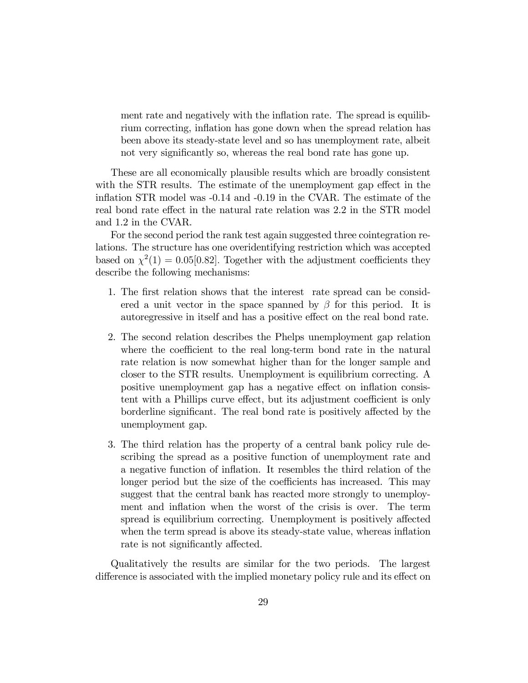ment rate and negatively with the inflation rate. The spread is equilibrium correcting, inflation has gone down when the spread relation has been above its steady-state level and so has unemployment rate, albeit not very significantly so, whereas the real bond rate has gone up.

These are all economically plausible results which are broadly consistent with the STR results. The estimate of the unemployment gap effect in the inflation STR model was  $-0.14$  and  $-0.19$  in the CVAR. The estimate of the real bond rate effect in the natural rate relation was 2.2 in the STR model and 1.2 in the CVAR.

For the second period the rank test again suggested three cointegration relations. The structure has one overidentifying restriction which was accepted based on  $\chi^2(1) = 0.05[0.82]$ . Together with the adjustment coefficients they describe the following mechanisms:

- 1. The first relation shows that the interest rate spread can be considered a unit vector in the space spanned by  $\beta$  for this period. It is autoregressive in itself and has a positive effect on the real bond rate.
- 2. The second relation describes the Phelps unemployment gap relation where the coefficient to the real long-term bond rate in the natural rate relation is now somewhat higher than for the longer sample and closer to the STR results. Unemployment is equilibrium correcting. A positive unemployment gap has a negative effect on inflation consistent with a Phillips curve effect, but its adjustment coefficient is only borderline significant. The real bond rate is positively affected by the unemployment gap.
- 3. The third relation has the property of a central bank policy rule describing the spread as a positive function of unemployment rate and a negative function of inflation. It resembles the third relation of the longer period but the size of the coefficients has increased. This may suggest that the central bank has reacted more strongly to unemployment and inflation when the worst of the crisis is over. The term spread is equilibrium correcting. Unemployment is positively affected when the term spread is above its steady-state value, whereas inflation rate is not significantly affected.

Qualitatively the results are similar for the two periods. The largest difference is associated with the implied monetary policy rule and its effect on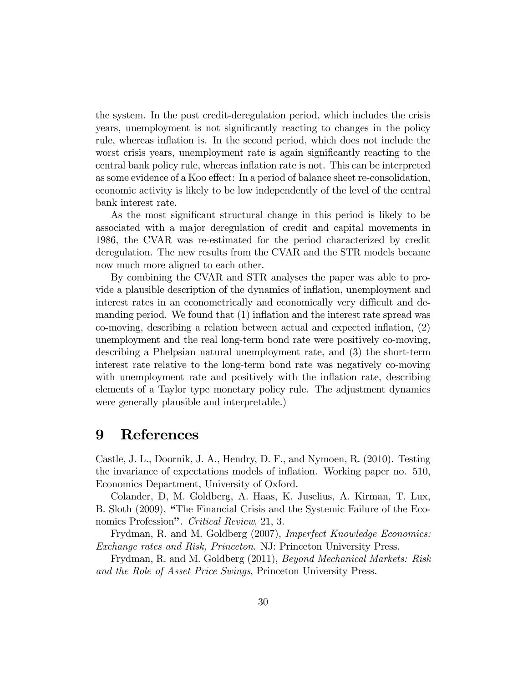the system. In the post credit-deregulation period, which includes the crisis years, unemployment is not significantly reacting to changes in the policy rule, whereas inflation is. In the second period, which does not include the worst crisis years, unemployment rate is again significantly reacting to the central bank policy rule, whereas inflation rate is not. This can be interpreted as some evidence of a Koo effect: In a period of balance sheet re-consolidation, economic activity is likely to be low independently of the level of the central bank interest rate.

As the most significant structural change in this period is likely to be associated with a major deregulation of credit and capital movements in 1986, the CVAR was re-estimated for the period characterized by credit deregulation. The new results from the CVAR and the STR models became now much more aligned to each other.

By combining the CVAR and STR analyses the paper was able to provide a plausible description of the dynamics of ináation, unemployment and interest rates in an econometrically and economically very difficult and demanding period. We found that  $(1)$  inflation and the interest rate spread was co-moving, describing a relation between actual and expected ináation, (2) unemployment and the real long-term bond rate were positively co-moving, describing a Phelpsian natural unemployment rate, and (3) the short-term interest rate relative to the long-term bond rate was negatively co-moving with unemployment rate and positively with the inflation rate, describing elements of a Taylor type monetary policy rule. The adjustment dynamics were generally plausible and interpretable.)

### 9 References

Castle, J. L., Doornik, J. A., Hendry, D. F., and Nymoen, R. (2010). Testing the invariance of expectations models of ináation. Working paper no. 510, Economics Department, University of Oxford.

Colander, D, M. Goldberg, A. Haas, K. Juselius, A. Kirman, T. Lux, B. Sloth (2009), "The Financial Crisis and the Systemic Failure of the Economics Profession". Critical Review, 21, 3.

Frydman, R. and M. Goldberg (2007), Imperfect Knowledge Economics: Exchange rates and Risk, Princeton. NJ: Princeton University Press.

Frydman, R. and M. Goldberg (2011), Beyond Mechanical Markets: Risk and the Role of Asset Price Swings, Princeton University Press.